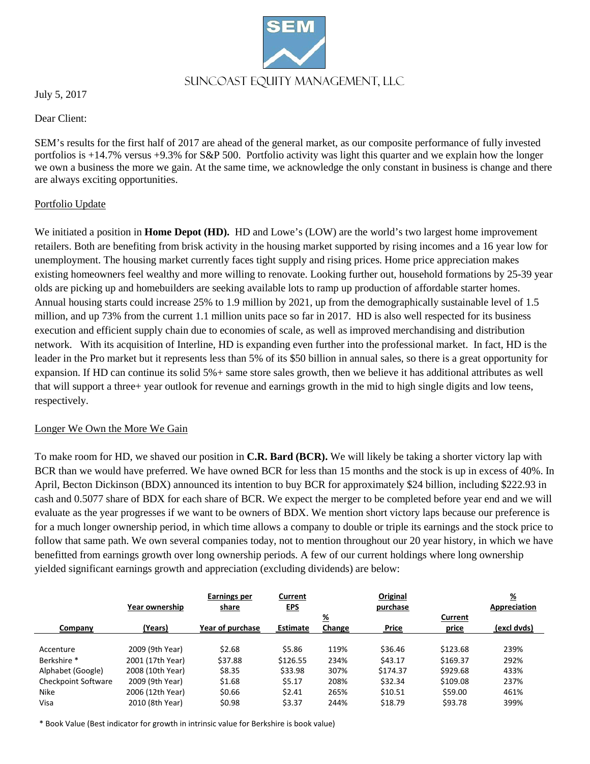

July 5, 2017

Dear Client:

SEM's results for the first half of 2017 are ahead of the general market, as our composite performance of fully invested portfolios is +14.7% versus +9.3% for S&P 500. Portfolio activity was light this quarter and we explain how the longer we own a business the more we gain. At the same time, we acknowledge the only constant in business is change and there are always exciting opportunities.

## Portfolio Update

We initiated a position in **Home Depot (HD).** HD and Lowe's (LOW) are the world's two largest home improvement retailers. Both are benefiting from brisk activity in the housing market supported by rising incomes and a 16 year low for unemployment. The housing market currently faces tight supply and rising prices. Home price appreciation makes existing homeowners feel wealthy and more willing to renovate. Looking further out, household formations by 25-39 year olds are picking up and homebuilders are seeking available lots to ramp up production of affordable starter homes. Annual housing starts could increase 25% to 1.9 million by 2021, up from the demographically sustainable level of 1.5 million, and up 73% from the current 1.1 million units pace so far in 2017. HD is also well respected for its business execution and efficient supply chain due to economies of scale, as well as improved merchandising and distribution network. With its acquisition of Interline, HD is expanding even further into the professional market. In fact, HD is the leader in the Pro market but it represents less than 5% of its \$50 billion in annual sales, so there is a great opportunity for expansion. If HD can continue its solid 5%+ same store sales growth, then we believe it has additional attributes as well that will support a three+ year outlook for revenue and earnings growth in the mid to high single digits and low teens, respectively.

### Longer We Own the More We Gain

To make room for HD, we shaved our position in **C.R. Bard (BCR).** We will likely be taking a shorter victory lap with BCR than we would have preferred. We have owned BCR for less than 15 months and the stock is up in excess of 40%. In April, Becton Dickinson (BDX) announced its intention to buy BCR for approximately \$24 billion, including \$222.93 in cash and 0.5077 share of BDX for each share of BCR. We expect the merger to be completed before year end and we will evaluate as the year progresses if we want to be owners of BDX. We mention short victory laps because our preference is for a much longer ownership period, in which time allows a company to double or triple its earnings and the stock price to follow that same path. We own several companies today, not to mention throughout our 20 year history, in which we have benefitted from earnings growth over long ownership periods. A few of our current holdings where long ownership yielded significant earnings growth and appreciation (excluding dividends) are below:

|                        | Year ownership   | <b>Earnings per</b><br>share | Current<br><u>EPS</u> |          | Original<br>purchase |          | $\underline{\mathcal{H}}$<br>Appreciation |
|------------------------|------------------|------------------------------|-----------------------|----------|----------------------|----------|-------------------------------------------|
|                        |                  |                              |                       | <u>%</u> |                      | Current  |                                           |
| Company                | (Years)          | Year of purchase             | Estimate              | Change   | <b>Price</b>         | price    | (excl dvds)                               |
|                        |                  |                              |                       |          |                      |          |                                           |
| Accenture              | 2009 (9th Year)  | \$2.68                       | \$5.86                | 119%     | \$36.46              | \$123.68 | 239%                                      |
| Berkshire <sup>*</sup> | 2001 (17th Year) | \$37.88                      | \$126.55              | 234%     | \$43.17              | \$169.37 | 292%                                      |
| Alphabet (Google)      | 2008 (10th Year) | \$8.35                       | \$33.98               | 307%     | \$174.37             | \$929.68 | 433%                                      |
| Checkpoint Software    | 2009 (9th Year)  | \$1.68                       | \$5.17                | 208%     | \$32.34              | \$109.08 | 237%                                      |
| <b>Nike</b>            | 2006 (12th Year) | \$0.66                       | \$2.41                | 265%     | \$10.51              | \$59.00  | 461%                                      |
| Visa                   | 2010 (8th Year)  | \$0.98                       | \$3.37                | 244%     | \$18.79              | \$93.78  | 399%                                      |

\* Book Value (Best indicator for growth in intrinsic value for Berkshire is book value)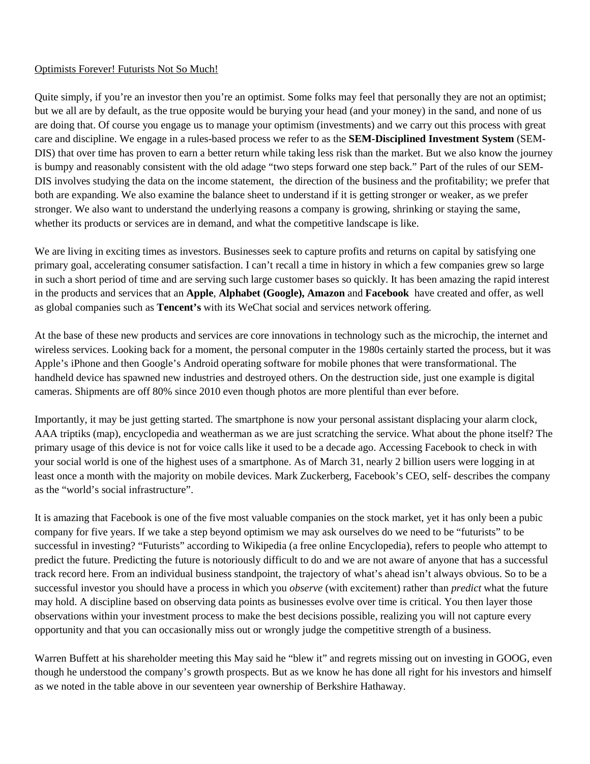## Optimists Forever! Futurists Not So Much!

Quite simply, if you're an investor then you're an optimist. Some folks may feel that personally they are not an optimist; but we all are by default, as the true opposite would be burying your head (and your money) in the sand, and none of us are doing that. Of course you engage us to manage your optimism (investments) and we carry out this process with great care and discipline. We engage in a rules-based process we refer to as the **SEM-Disciplined Investment System** (SEM-DIS) that over time has proven to earn a better return while taking less risk than the market. But we also know the journey is bumpy and reasonably consistent with the old adage "two steps forward one step back." Part of the rules of our SEM-DIS involves studying the data on the income statement, the direction of the business and the profitability; we prefer that both are expanding. We also examine the balance sheet to understand if it is getting stronger or weaker, as we prefer stronger. We also want to understand the underlying reasons a company is growing, shrinking or staying the same, whether its products or services are in demand, and what the competitive landscape is like.

We are living in exciting times as investors. Businesses seek to capture profits and returns on capital by satisfying one primary goal, accelerating consumer satisfaction. I can't recall a time in history in which a few companies grew so large in such a short period of time and are serving such large customer bases so quickly. It has been amazing the rapid interest in the products and services that an **Apple**, **Alphabet (Google), Amazon** and **Facebook** have created and offer, as well as global companies such as **Tencent's** with its WeChat social and services network offering.

At the base of these new products and services are core innovations in technology such as the microchip, the internet and wireless services. Looking back for a moment, the personal computer in the 1980s certainly started the process, but it was Apple's iPhone and then Google's Android operating software for mobile phones that were transformational. The handheld device has spawned new industries and destroyed others. On the destruction side, just one example is digital cameras. Shipments are off 80% since 2010 even though photos are more plentiful than ever before.

Importantly, it may be just getting started. The smartphone is now your personal assistant displacing your alarm clock, AAA triptiks (map), encyclopedia and weatherman as we are just scratching the service. What about the phone itself? The primary usage of this device is not for voice calls like it used to be a decade ago. Accessing Facebook to check in with your social world is one of the highest uses of a smartphone. As of March 31, nearly 2 billion users were logging in at least once a month with the majority on mobile devices. Mark Zuckerberg, Facebook's CEO, self- describes the company as the "world's social infrastructure".

It is amazing that Facebook is one of the five most valuable companies on the stock market, yet it has only been a pubic company for five years. If we take a step beyond optimism we may ask ourselves do we need to be "futurists" to be successful in investing? "Futurists" according to Wikipedia (a free online Encyclopedia), refers to people who attempt to predict the future. Predicting the future is notoriously difficult to do and we are not aware of anyone that has a successful track record here. From an individual business standpoint, the trajectory of what's ahead isn't always obvious. So to be a successful investor you should have a process in which you *observe* (with excitement) rather than *predict* what the future may hold. A discipline based on observing data points as businesses evolve over time is critical. You then layer those observations within your investment process to make the best decisions possible, realizing you will not capture every opportunity and that you can occasionally miss out or wrongly judge the competitive strength of a business.

Warren Buffett at his shareholder meeting this May said he "blew it" and regrets missing out on investing in GOOG, even though he understood the company's growth prospects. But as we know he has done all right for his investors and himself as we noted in the table above in our seventeen year ownership of Berkshire Hathaway.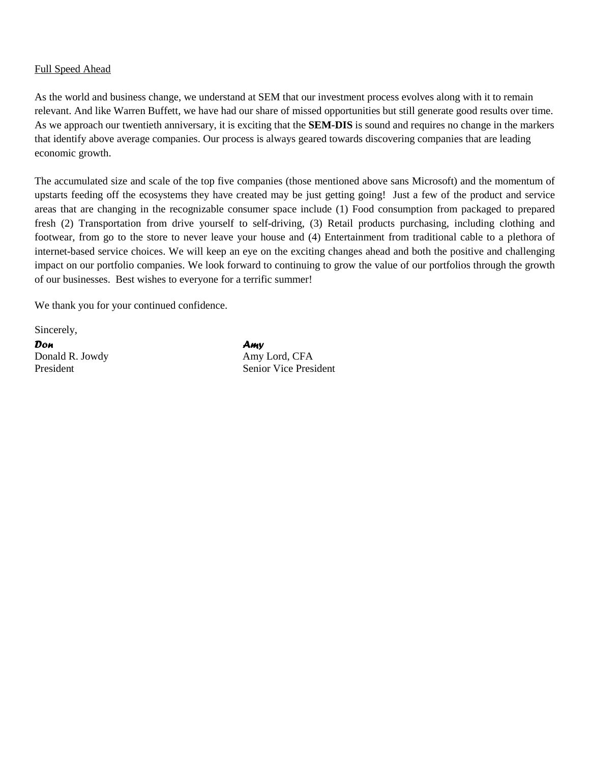### Full Speed Ahead

As the world and business change, we understand at SEM that our investment process evolves along with it to remain relevant. And like Warren Buffett, we have had our share of missed opportunities but still generate good results over time. As we approach our twentieth anniversary, it is exciting that the **SEM-DIS** is sound and requires no change in the markers that identify above average companies. Our process is always geared towards discovering companies that are leading economic growth.

The accumulated size and scale of the top five companies (those mentioned above sans Microsoft) and the momentum of upstarts feeding off the ecosystems they have created may be just getting going! Just a few of the product and service areas that are changing in the recognizable consumer space include (1) Food consumption from packaged to prepared fresh (2) Transportation from drive yourself to self-driving, (3) Retail products purchasing, including clothing and footwear, from go to the store to never leave your house and (4) Entertainment from traditional cable to a plethora of internet-based service choices. We will keep an eye on the exciting changes ahead and both the positive and challenging impact on our portfolio companies. We look forward to continuing to grow the value of our portfolios through the growth of our businesses. Best wishes to everyone for a terrific summer!

We thank you for your continued confidence.

Sincerely,

*Don Amy* Donald R. Jowdy Amy Lord, CFA

President Senior Vice President